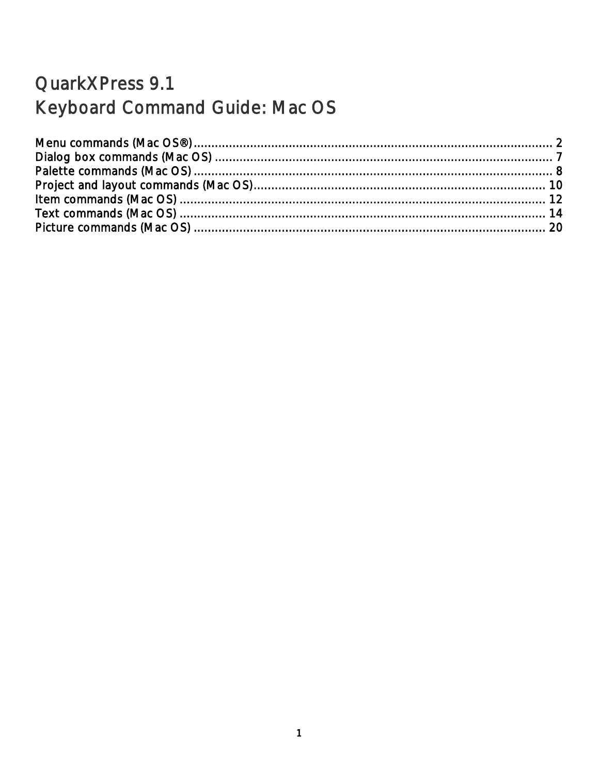### QuarkXPress 9.1 Keyboard Command Guide: Mac OS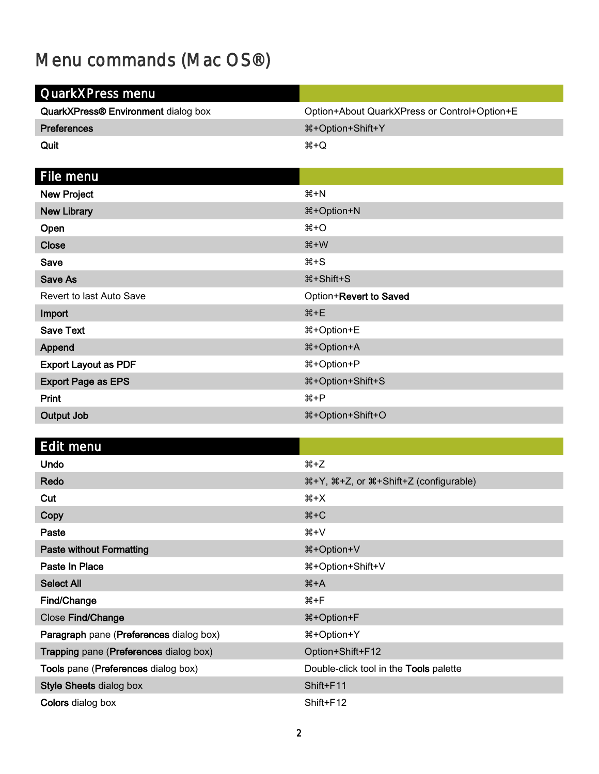# <span id="page-1-0"></span>Menu commands (Mac OS®)

| QuarkXPress menu                    |                                              |
|-------------------------------------|----------------------------------------------|
|                                     |                                              |
| QuarkXPress® Environment dialog box | Option+About QuarkXPress or Control+Option+E |
| <b>Preferences</b>                  | <b>\\$+Option+Shift+Y</b>                    |
| Quit                                | $H + Q$                                      |
|                                     |                                              |
| File menu                           |                                              |
| New Project                         | $#+N$                                        |
| <b>New Library</b>                  | <b>米+Option+N</b>                            |
| Open                                | $#+O$                                        |
| <b>Close</b>                        | $H+W$                                        |
| Save                                | $#+S$                                        |
| <b>Save As</b>                      | <b><i>W</i></b> +Shift+S                     |
| Revert to last Auto Save            | Option+Revert to Saved                       |
| Import                              | $H + E$                                      |
| <b>Save Text</b>                    | %#Option+E                                   |
| Append                              | <b>\\$+Option+A</b>                          |
| <b>Export Layout as PDF</b>         | %#+Option+P                                  |
| <b>Export Page as EPS</b>           | <b>*+Option+Shift+S</b>                      |
| Print                               | $H + P$                                      |
| <b>Output Job</b>                   | <sup>8</sup> +Option+Shift+O                 |

### Edit menu

| <b>Undo</b>                             | $#+Z$                                  |
|-----------------------------------------|----------------------------------------|
| Redo                                    | 용+Y, 용+Z, or 용+Shift+Z (configurable)  |
| Cut                                     | ະ+X                                    |
| Copy                                    | $# + C$                                |
| Paste                                   | $H+V$                                  |
| <b>Paste without Formatting</b>         | <b>米+Option+V</b>                      |
| Paste In Place                          | %+Option+Shift+V                       |
| <b>Select All</b>                       | $#+A$                                  |
| Find/Change                             | #⊁F                                    |
| Close Find/Change                       | <sup>8</sup> +Option+F                 |
| Paragraph pane (Preferences dialog box) | $\text{H+Option+Y}$                    |
| Trapping pane (Preferences dialog box)  | Option+Shift+F12                       |
| Tools pane (Preferences dialog box)     | Double-click tool in the Tools palette |
| <b>Style Sheets dialog box</b>          | Shift+F11                              |
| <b>Colors</b> dialog box                | Shift+F12                              |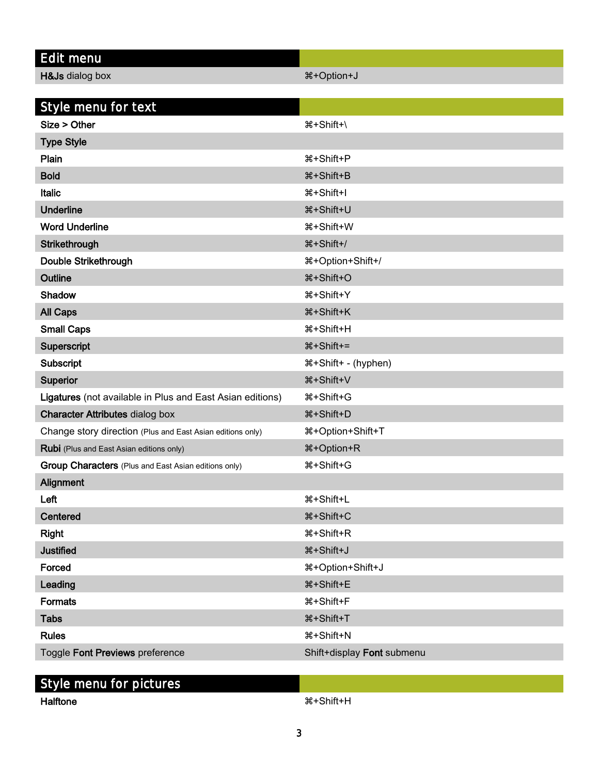| <b>Edit menu</b>                                           |                                |
|------------------------------------------------------------|--------------------------------|
| H&Js dialog box                                            | <sup>8</sup> +Option+J         |
|                                                            |                                |
| Style menu for text                                        |                                |
| Size > Other                                               | ポ+Shift+\                      |
| <b>Type Style</b>                                          |                                |
| Plain                                                      | #+Shift+P                      |
| <b>Bold</b>                                                | <b></b> #+Shift+B              |
| <b>Italic</b>                                              | <b><math>\#+Shift+I</math></b> |
| <b>Underline</b>                                           | <b>*+Shift+U</b>               |
| <b>Word Underline</b>                                      | <b>*+Shift+W</b>               |
| Strikethrough                                              | <b>*+Shift+/</b>               |
| Double Strikethrough                                       | 용+Option+Shift+/               |
| Outline                                                    | <b>*+Shift+O</b>               |
| Shadow                                                     | <b><i>W</i></b> +Shift+Y       |
| <b>All Caps</b>                                            | <b><i>W</i></b> +Shift+K       |
| <b>Small Caps</b>                                          | <b>*+Shift+H</b>               |
| Superscript                                                | %+Shift+=                      |
| <b>Subscript</b>                                           | ೫+Shift+ - (hyphen)            |
| Superior                                                   | <b>*+Shift+V</b>               |
| Ligatures (not available in Plus and East Asian editions)  | <b><math>\#</math>+Shift+G</b> |
| <b>Character Attributes dialog box</b>                     | <b>*+Shift+D</b>               |
| Change story direction (Plus and East Asian editions only) | <b>*+Option+Shift+T</b>        |
| <b>Rubi</b> (Plus and East Asian editions only)            | <b>%+Option+R</b>              |
| Group Characters (Plus and East Asian editions only)       | <b><math>#+Shift+G</math></b>  |
| Alignment                                                  |                                |
| Left                                                       | <b><math>#+Shift+L</math></b>  |
| Centered                                                   | <b>*+Shift+C</b>               |
| <b>Right</b>                                               | <b>*+Shift+R</b>               |
| <b>Justified</b>                                           | <b>*+Shift+J</b>               |
| Forced                                                     | 용+Option+Shift+J               |
| Leading                                                    | <b><i>W</i></b> +Shift+E       |
| <b>Formats</b>                                             | <b></b> #+Shift+F              |
| <b>Tabs</b>                                                | <b></b> #+Shift+T              |
| <b>Rules</b>                                               | <b>*+Shift+N</b>               |
| Toggle Font Previews preference                            | Shift+display Font submenu     |
|                                                            |                                |

### Style menu for pictures

Halftone +Shift+H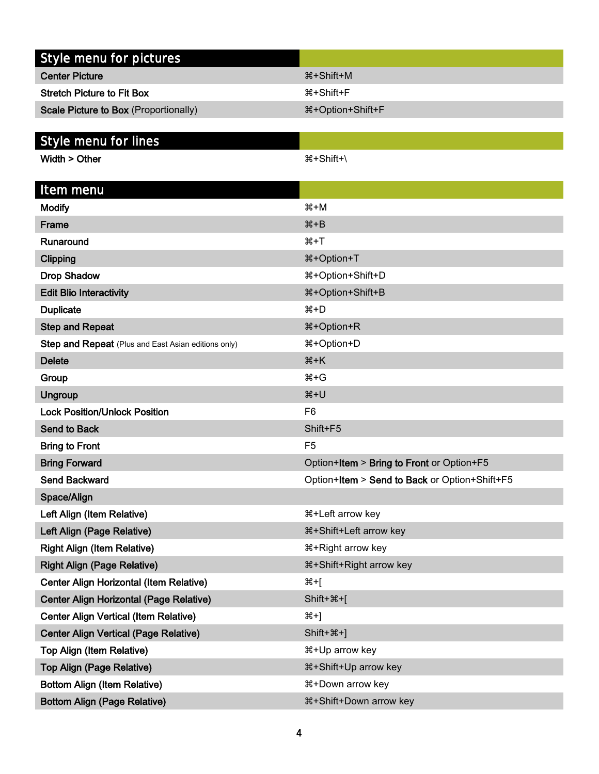| Style menu for pictures                             |                                               |
|-----------------------------------------------------|-----------------------------------------------|
| <b>Center Picture</b>                               | <b><math>\#</math>+Shift+M</b>                |
| <b>Stretch Picture to Fit Box</b>                   | <b></b> #+Shift+F                             |
| <b>Scale Picture to Box (Proportionally)</b>        | 용+Option+Shift+F                              |
|                                                     |                                               |
| Style menu for lines                                |                                               |
| Width > Other                                       | <b>ポ+Shift+</b>                               |
|                                                     |                                               |
| Item menu                                           |                                               |
| <b>Modify</b>                                       | $H+M$                                         |
| Frame                                               | $H + B$                                       |
| Runaround                                           | $H+T$                                         |
| Clipping                                            | <b></b> #+Option+T                            |
| <b>Drop Shadow</b>                                  | 용+Option+Shift+D                              |
| <b>Edit Blio Interactivity</b>                      | 용+Option+Shift+B                              |
| <b>Duplicate</b>                                    | $#+D$                                         |
| <b>Step and Repeat</b>                              | %#Option+R                                    |
| Step and Repeat (Plus and East Asian editions only) | $\text{H+Option+D}$                           |
| <b>Delete</b>                                       | $H+K$                                         |
| Group                                               | $#+G$                                         |
| <b>Ungroup</b>                                      | $H+U$                                         |
| <b>Lock Position/Unlock Position</b>                | F <sub>6</sub>                                |
| <b>Send to Back</b>                                 | Shift+F5                                      |
| <b>Bring to Front</b>                               | F <sub>5</sub>                                |
| <b>Bring Forward</b>                                | Option+Item > Bring to Front or Option+F5     |
| <b>Send Backward</b>                                | Option+Item > Send to Back or Option+Shift+F5 |
| Space/Align                                         |                                               |
| Left Align (Item Relative)                          | #+Left arrow key                              |
| Left Align (Page Relative)                          | *+Shift+Left arrow key                        |
| <b>Right Align (Item Relative)</b>                  | #+Right arrow key                             |
| <b>Right Align (Page Relative)</b>                  |                                               |
| Center Align Horizontal (Item Relative)             | %+[                                           |
| <b>Center Align Horizontal (Page Relative)</b>      | $Shift + ** + [$                              |
| <b>Center Align Vertical (Item Relative)</b>        | $#+$                                          |
| <b>Center Align Vertical (Page Relative)</b>        | $Shift+**+]$                                  |
| Top Align (Item Relative)                           | ೫+Up arrow key                                |
| <b>Top Align (Page Relative)</b>                    |                                               |
| <b>Bottom Align (Item Relative)</b>                 | #+Down arrow key                              |
| <b>Bottom Align (Page Relative)</b>                 |                                               |
|                                                     |                                               |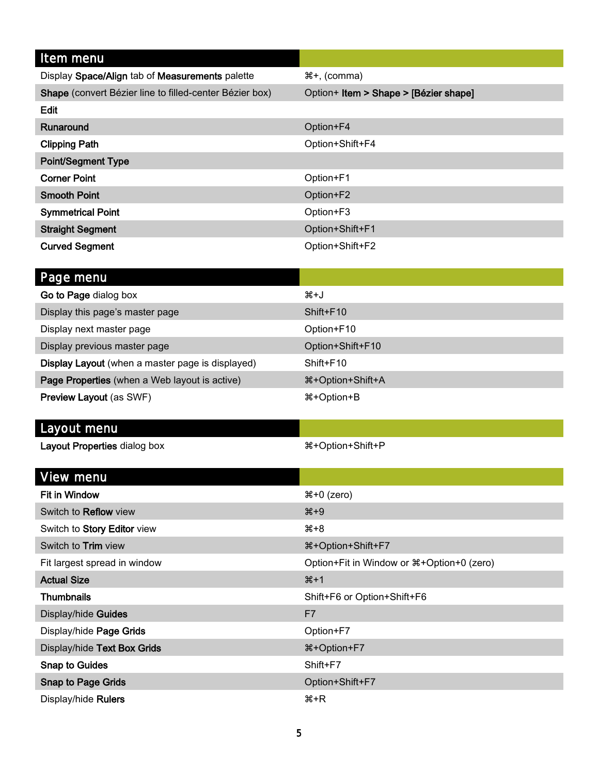| Item menu                                                                                                                                                                                                                            |                                       |
|--------------------------------------------------------------------------------------------------------------------------------------------------------------------------------------------------------------------------------------|---------------------------------------|
| Display Space/Align tab of Measurements palette                                                                                                                                                                                      | ೫+, (comma)                           |
| Shape (convert Bézier line to filled-center Bézier box)                                                                                                                                                                              | Option+ Item > Shape > [Bézier shape] |
| Edit                                                                                                                                                                                                                                 |                                       |
| Runaround                                                                                                                                                                                                                            | Option+F4                             |
| <b>Clipping Path</b>                                                                                                                                                                                                                 | Option+Shift+F4                       |
| <b>Point/Segment Type</b>                                                                                                                                                                                                            |                                       |
| <b>Corner Point</b>                                                                                                                                                                                                                  | Option+F1                             |
| <b>Smooth Point</b>                                                                                                                                                                                                                  | Option+F2                             |
| <b>Symmetrical Point</b>                                                                                                                                                                                                             | Option+F3                             |
| <b>Straight Segment</b>                                                                                                                                                                                                              | Option+Shift+F1                       |
| <b>Curved Segment</b>                                                                                                                                                                                                                | Option+Shift+F2                       |
|                                                                                                                                                                                                                                      |                                       |
| Page menu                                                                                                                                                                                                                            |                                       |
| Go to Page dialog box                                                                                                                                                                                                                | X+J                                   |
| <b>Extending of the contract of the state of the contract of the state of the contract of the contract of the contract of the contract of the contract of the contract of the contract of the contract of the contract of the co</b> | $\bigcap \{f: f: F \cup F\}$          |

| Display this page's master page                  | Shift+F10                                   |
|--------------------------------------------------|---------------------------------------------|
| Display next master page                         | Option+F10                                  |
| Display previous master page                     | Option+Shift+F10                            |
| Display Layout (when a master page is displayed) | Shift+F10                                   |
| Page Properties (when a Web layout is active)    | <b><math>\text{H}</math>+Option+Shift+A</b> |
| <b>Preview Layout (as SWF)</b>                   | 용+Option+B                                  |

#### Layout menu

Layout Properties dialog box  $\text{R+Option+Shift+P}$ 

| View menu                    |                                              |
|------------------------------|----------------------------------------------|
| <b>Fit in Window</b>         | $#+0$ (zero)                                 |
| Switch to <b>Reflow</b> view | $*9$                                         |
| Switch to Story Editor view  | #+8                                          |
| Switch to <b>Trim</b> view   | %#+Option+Shift+F7                           |
| Fit largest spread in window | Option+Fit in Window or $\#+Option+0$ (zero) |
| <b>Actual Size</b>           | $*1$                                         |
| <b>Thumbnails</b>            | Shift+F6 or Option+Shift+F6                  |
| Display/hide Guides          | F7                                           |
| Display/hide Page Grids      | Option+F7                                    |
| Display/hide Text Box Grids  | %#+Option+F7                                 |
| <b>Snap to Guides</b>        | Shift+F7                                     |
| <b>Snap to Page Grids</b>    | Option+Shift+F7                              |
| Display/hide Rulers          | <sub>ິ</sub> #+R                             |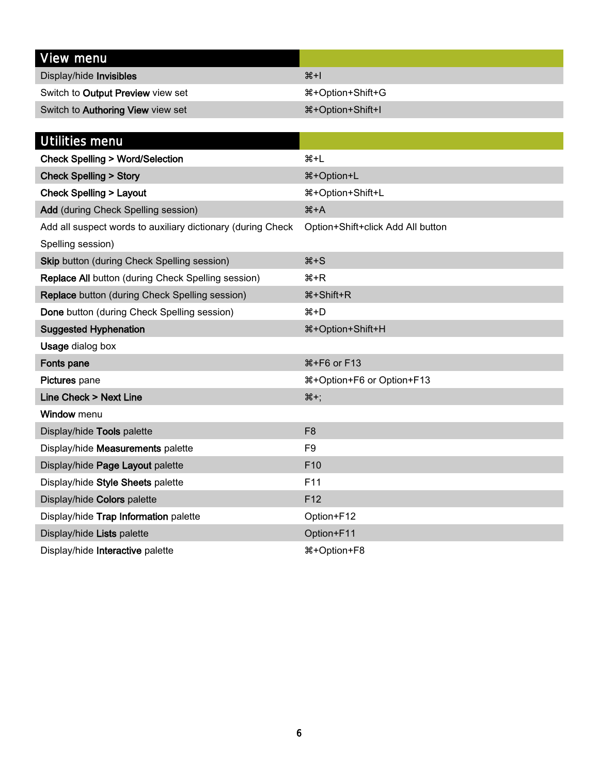| View menu                         |                    |
|-----------------------------------|--------------------|
| Display/hide Invisibles           | #H                 |
| Switch to Output Preview view set | ิ #+Option+Shift+G |
| Switch to Authoring View view set | #+Option+Shift+I   |

| Utilities menu                                              |                                           |
|-------------------------------------------------------------|-------------------------------------------|
| <b>Check Spelling &gt; Word/Selection</b>                   | $H + L$                                   |
| <b>Check Spelling &gt; Story</b>                            | <b>米+Option+L</b>                         |
| <b>Check Spelling &gt; Layout</b>                           | %+Option+Shift+L                          |
| Add (during Check Spelling session)                         | $H+A$                                     |
| Add all suspect words to auxiliary dictionary (during Check | Option+Shift+click Add All button         |
| Spelling session)                                           |                                           |
| <b>Skip button (during Check Spelling session)</b>          | $#+S$                                     |
| Replace All button (during Check Spelling session)          | <del>2</del> +R                           |
| Replace button (during Check Spelling session)              | <b><i>W</i></b> +Shift+R                  |
| Done button (during Check Spelling session)                 | $H+D$                                     |
| <b>Suggested Hyphenation</b>                                | %#Option+Shift+H                          |
| <b>Usage dialog box</b>                                     |                                           |
| Fonts pane                                                  | <b>\\$+F6 or F13</b>                      |
| Pictures pane                                               | <b><i>\</i>\$+Option+F6</b> or Option+F13 |
| <b>Line Check &gt; Next Line</b>                            | $#+$                                      |
| Window menu                                                 |                                           |
| Display/hide Tools palette                                  | F <sub>8</sub>                            |
| Display/hide Measurements palette                           | F <sub>9</sub>                            |
| Display/hide Page Layout palette                            | F <sub>10</sub>                           |
| Display/hide Style Sheets palette                           | F11                                       |
| Display/hide Colors palette                                 | F <sub>12</sub>                           |
| Display/hide Trap Information palette                       | Option+F12                                |
| Display/hide Lists palette                                  | Option+F11                                |
| Display/hide Interactive palette                            | <b>00+R+Option+F8</b>                     |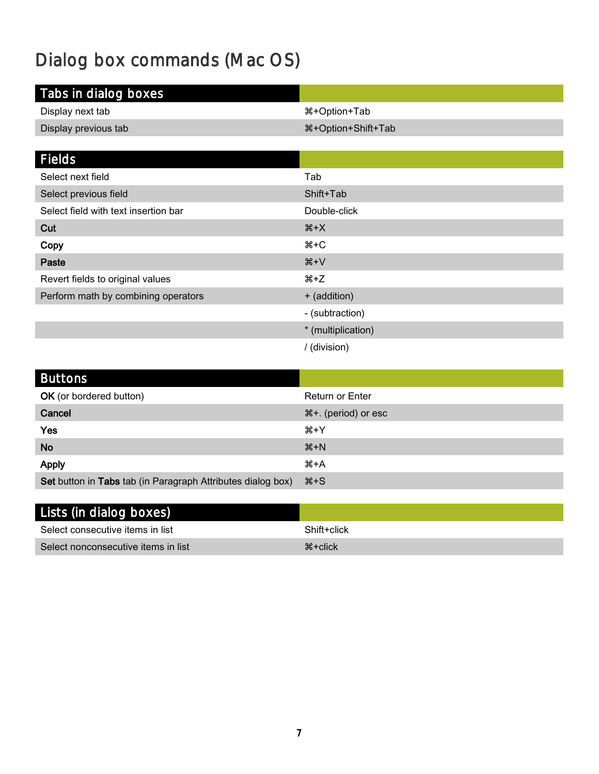# <span id="page-6-0"></span>Dialog box commands (Mac OS)

| Tabs in dialog boxes                 |                     |
|--------------------------------------|---------------------|
| Display next tab                     | #+Option+Tab        |
| Display previous tab                 | %#+Option+Shift+Tab |
|                                      |                     |
| <b>Fields</b>                        |                     |
| Select next field                    | Tab                 |
| Select previous field                | Shift+Tab           |
| Select field with text insertion bar | Double-click        |
| Cut                                  | $#+X$               |
| Copy                                 | $# + C$             |
| Paste                                | $H+V$               |
| Revert fields to original values     | <sub>ະ</sub> ≠2     |
| Perform math by combining operators  | + (addition)        |
|                                      | - (subtraction)     |
|                                      | * (multiplication)  |
|                                      | / (division)        |

| <b>Buttons</b>                                              |                        |
|-------------------------------------------------------------|------------------------|
| <b>OK</b> (or bordered button)                              | <b>Return or Enter</b> |
| Cancel                                                      | ೫+. (period) or esc    |
| Yes                                                         | #⊁Y                    |
| <b>No</b>                                                   | $H+M$                  |
| <b>Apply</b>                                                | #+A                    |
| Set button in Tabs tab (in Paragraph Attributes dialog box) | $\frac{1}{2}$          |

| Lists (in dialog boxes)             |                      |
|-------------------------------------|----------------------|
| Select consecutive items in list    | Shift+click          |
| Select nonconsecutive items in list | $\mathcal{H}$ +click |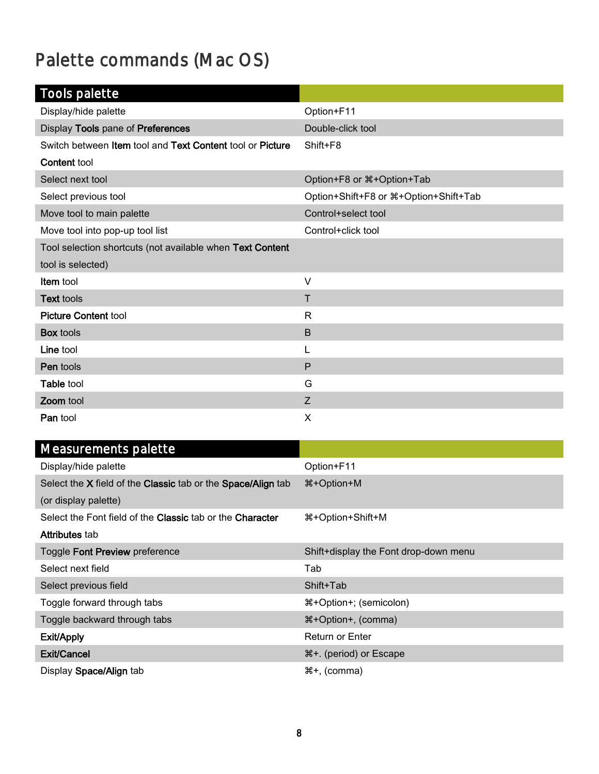# <span id="page-7-0"></span>Palette commands (Mac OS)

| <b>Tools palette</b>                                      |                                           |
|-----------------------------------------------------------|-------------------------------------------|
| Display/hide palette                                      | Option+F11                                |
| Display Tools pane of Preferences                         | Double-click tool                         |
| Switch between Item tool and Text Content tool or Picture | Shift+F8                                  |
| <b>Content tool</b>                                       |                                           |
| Select next tool                                          | Option+F8 or $\text{\#+Option+Tab}$       |
| Select previous tool                                      | Option+Shift+F8 or $\#$ +Option+Shift+Tab |
| Move tool to main palette                                 | Control+select tool                       |
| Move tool into pop-up tool list                           | Control+click tool                        |
| Tool selection shortcuts (not available when Text Content |                                           |
| tool is selected)                                         |                                           |
| Item tool                                                 | $\vee$                                    |
| <b>Text tools</b>                                         | Τ                                         |
| <b>Picture Content tool</b>                               | R                                         |
| <b>Box tools</b>                                          | B                                         |
| Line tool                                                 | L                                         |
| Pen tools                                                 | $\mathsf{P}$                              |
| Table tool                                                | G                                         |
| Zoom tool                                                 | Z                                         |
| Pan tool                                                  | X                                         |

| Measurements palette                                         |                                       |
|--------------------------------------------------------------|---------------------------------------|
| Display/hide palette                                         | Option+F11                            |
| Select the X field of the Classic tab or the Space/Align tab | <sup>8</sup> + Option + M             |
| (or display palette)                                         |                                       |
| Select the Font field of the Classic tab or the Character    | #+Option+Shift+M                      |
| Attributes tab                                               |                                       |
| Toggle Font Preview preference                               | Shift+display the Font drop-down menu |
| Select next field                                            | Tab                                   |
| Select previous field                                        | Shift+Tab                             |
| Toggle forward through tabs                                  | #+Option+; (semicolon)                |
| Toggle backward through tabs                                 | <b>\\$+Option+, (comma)</b>           |
| Exit/Apply                                                   | <b>Return or Enter</b>                |
| Exit/Cancel                                                  | ೫+. (period) or Escape                |
| Display Space/Align tab                                      | ೫+, (comma)                           |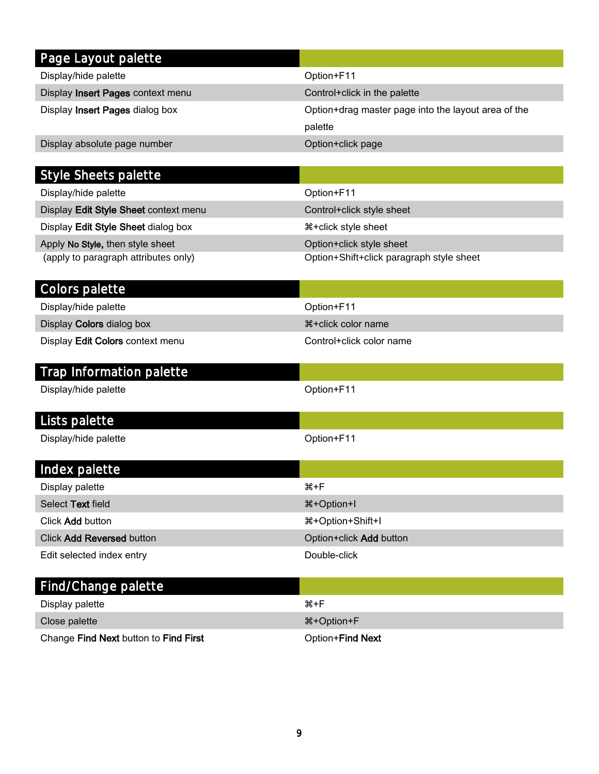| Page Layout palette                   |                                                     |
|---------------------------------------|-----------------------------------------------------|
| Display/hide palette                  | Option+F11                                          |
| Display Insert Pages context menu     | Control+click in the palette                        |
| Display Insert Pages dialog box       | Option+drag master page into the layout area of the |
|                                       | palette                                             |
| Display absolute page number          | Option+click page                                   |
|                                       |                                                     |
| <b>Style Sheets palette</b>           |                                                     |
| Display/hide palette                  | Option+F11                                          |
| Display Edit Style Sheet context menu | Control+click style sheet                           |
| Display Edit Style Sheet dialog box   | <b>***</b> click style sheet                        |
| Apply No Style, then style sheet      | Option+click style sheet                            |
| (apply to paragraph attributes only)  | Option+Shift+click paragraph style sheet            |
|                                       |                                                     |
| Colors palette                        | Option+F11                                          |
| Display/hide palette                  | <b></b> #+click color name                          |
| Display Colors dialog box             |                                                     |
| Display Edit Colors context menu      | Control+click color name                            |
| Trap Information palette              |                                                     |
| Display/hide palette                  | Option+F11                                          |
|                                       |                                                     |
| Lists palette                         |                                                     |
| Display/hide palette                  | Option+F11                                          |
|                                       |                                                     |
| Index palette                         |                                                     |
| Display palette                       | #+F                                                 |
| Select Text field                     | 용+Option+I                                          |
| Click Add button                      | 용+Option+Shift+I                                    |
| Click Add Reversed button             | Option+click Add button                             |
| Edit selected index entry             | Double-click                                        |
|                                       |                                                     |
| Find/Change palette                   |                                                     |
| Display palette                       | $H + F$                                             |
| Close palette                         | <b>%+Option+F</b>                                   |
| Change Find Next button to Find First | Option+Find Next                                    |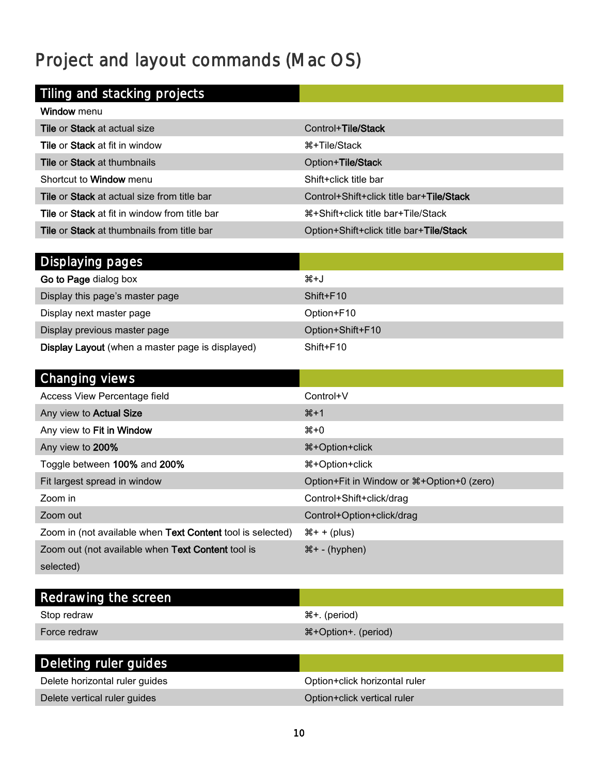# <span id="page-9-0"></span>Project and layout commands (Mac OS)

### Tiling and stacking projects

| Window menu                                          |                                                   |
|------------------------------------------------------|---------------------------------------------------|
| <b>Tile or Stack at actual size</b>                  | Control+Tile/Stack                                |
| <b>Tile or Stack at fit in window</b>                | ิ <del>X</del> +Tile/Stack                        |
| <b>Tile or Stack at thumbnails</b>                   | Option+Tile/Stack                                 |
| Shortcut to <b>Window</b> menu                       | Shift+click title bar                             |
| <b>Tile or Stack at actual size from title bar</b>   | Control+Shift+click title bar+Tile/Stack          |
| <b>Tile or Stack at fit in window from title bar</b> | า <del>24</del> +Shift+click title bar+Tile/Stack |
| <b>Tile or Stack at thumbnails from title bar</b>    | Option+Shift+click title bar+Tile/Stack           |

| Displaying pages                                        |                  |
|---------------------------------------------------------|------------------|
| Go to Page dialog box                                   | #+J              |
| Display this page's master page                         | Shift+F10        |
| Display next master page                                | Option+F10       |
| Display previous master page                            | Option+Shift+F10 |
| <b>Display Layout</b> (when a master page is displayed) | Shift+F10        |

| Changing views                                             |                                              |
|------------------------------------------------------------|----------------------------------------------|
| Access View Percentage field                               | Control+V                                    |
| Any view to Actual Size                                    | $*1$                                         |
| Any view to Fit in Window                                  | #+0                                          |
| Any view to 200%                                           | <sup>8</sup> +Option+click                   |
| Toggle between 100% and 200%                               | <sup>8</sup> +Option+click                   |
| Fit largest spread in window                               | Option+Fit in Window or $\#+Option+0$ (zero) |
| Zoom in                                                    | Control+Shift+click/drag                     |
| Zoom out                                                   | Control+Option+click/drag                    |
| Zoom in (not available when Text Content tool is selected) | $\mathcal{H}$ + + (plus)                     |
| Zoom out (not available when Text Content tool is          | $\mathcal{H}$ + - (hyphen)                   |
| selected)                                                  |                                              |

| Redrawing the screen           |                               |
|--------------------------------|-------------------------------|
| Stop redraw                    | #+. (period)                  |
| Force redraw                   | 器+Option+. (period)           |
|                                |                               |
| Deleting ruler guides          |                               |
| Delete horizontal ruler guides | Option+click horizontal ruler |
| Delete vertical ruler guides   | Option+click vertical ruler   |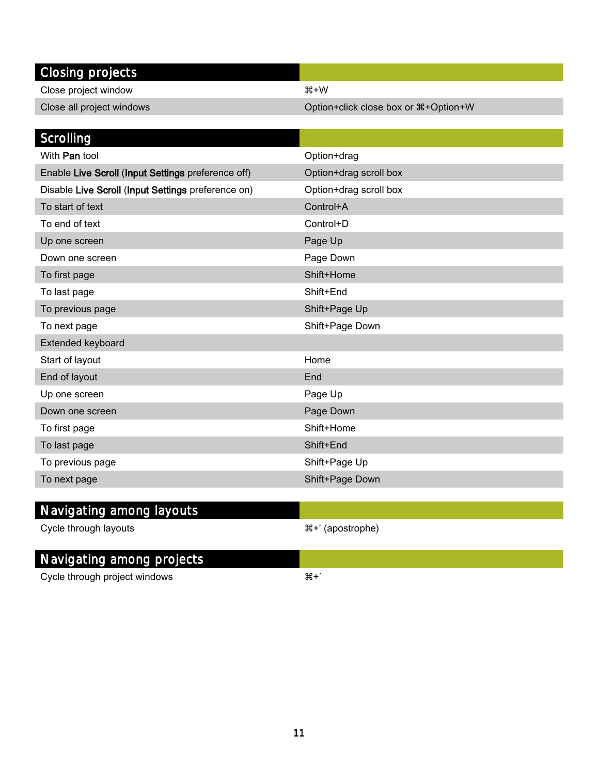| Closing projects                                   |                                                  |
|----------------------------------------------------|--------------------------------------------------|
| Close project window                               | $H+W$                                            |
| Close all project windows                          | Option+click close box or $\mathbb{H}$ +Option+W |
|                                                    |                                                  |
| Scrolling                                          |                                                  |
| With Pan tool                                      | Option+drag                                      |
| Enable Live Scroll (Input Settings preference off) | Option+drag scroll box                           |
| Disable Live Scroll (Input Settings preference on) | Option+drag scroll box                           |
| To start of text                                   | Control+A                                        |
| To end of text                                     | Control+D                                        |
| Up one screen                                      | Page Up                                          |
| Down one screen                                    | Page Down                                        |
| To first page                                      | Shift+Home                                       |
| To last page                                       | Shift+End                                        |
| To previous page                                   | Shift+Page Up                                    |
| To next page                                       | Shift+Page Down                                  |
| Extended keyboard                                  |                                                  |
| Start of layout                                    | Home                                             |
| End of layout                                      | End                                              |
| Up one screen                                      | Page Up                                          |
| Down one screen                                    | Page Down                                        |
| To first page                                      | Shift+Home                                       |
| To last page                                       | Shift+End                                        |
| To previous page                                   | Shift+Page Up                                    |
| To next page                                       | Shift+Page Down                                  |
|                                                    |                                                  |

### Navigating among layouts

Cycle through layouts  $\mathbb{R}^+$  (apostrophe)

#### Navigating among projects

Cycle through project windows  $#+$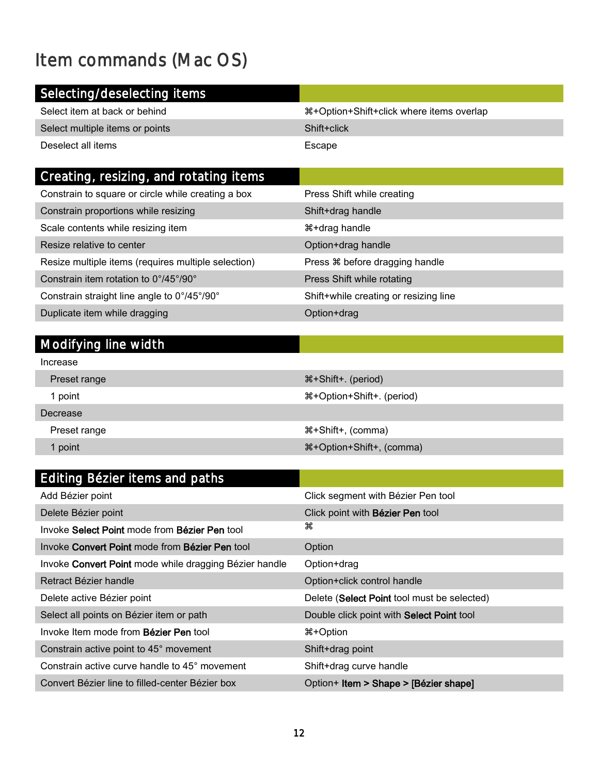# <span id="page-11-0"></span>Item commands (Mac OS)

| Selecting/deselecting items     |                                          |
|---------------------------------|------------------------------------------|
| Select item at back or behind   | 器+Option+Shift+click where items overlap |
| Select multiple items or points | Shift+click                              |
| Deselect all items              | Escape                                   |
|                                 |                                          |

| Creating, resizing, and rotating items                       |                                       |
|--------------------------------------------------------------|---------------------------------------|
| Constrain to square or circle while creating a box           | Press Shift while creating            |
| Constrain proportions while resizing                         | Shift+drag handle                     |
| Scale contents while resizing item                           | #+drag handle                         |
| Resize relative to center                                    | Option+drag handle                    |
| Resize multiple items (requires multiple selection)          | Press $\Re$ before dragging handle    |
| Constrain item rotation to $0^{\circ}/45^{\circ}/90^{\circ}$ | Press Shift while rotating            |
| Constrain straight line angle to 0°/45°/90°                  | Shift+while creating or resizing line |
| Duplicate item while dragging                                | Option+drag                           |

### Modifying line width

| Editing Bézier items and paths                         |                                             |
|--------------------------------------------------------|---------------------------------------------|
| Add Bézier point                                       | Click segment with Bézier Pen tool          |
| Delete Bézier point                                    | Click point with <b>Bézier Pen</b> tool     |
| Invoke Select Point mode from Bézier Pen tool          | æ                                           |
| Invoke Convert Point mode from Bézier Pen tool         | Option                                      |
| Invoke Convert Point mode while dragging Bézier handle | Option+drag                                 |
| Retract Bézier handle                                  | Option+click control handle                 |
| Delete active Bézier point                             | Delete (Select Point tool must be selected) |
| Select all points on Bézier item or path               | Double click point with Select Point tool   |
| Invoke Item mode from <b>Bézier Pen</b> tool           | 0ption                                      |
| Constrain active point to 45° movement                 | Shift+drag point                            |
| Constrain active curve handle to 45° movement          | Shift+drag curve handle                     |
| Convert Bézier line to filled-center Bézier box        | Option+ Item > Shape > [Bézier shape]       |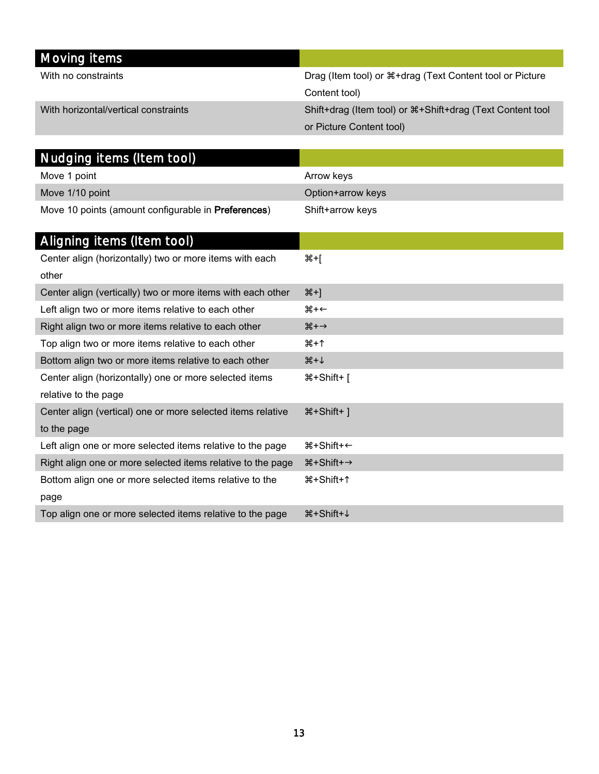| Moving items                         |                                                               |
|--------------------------------------|---------------------------------------------------------------|
| With no constraints                  | Drag (Item tool) or $\#$ +drag (Text Content tool or Picture  |
|                                      | Content tool)                                                 |
| With horizontal/vertical constraints | Shift+drag (Item tool) or $\#$ +Shift+drag (Text Content tool |
|                                      | or Picture Content tool)                                      |

| Nudging items (Item tool)                                   |                                    |
|-------------------------------------------------------------|------------------------------------|
| Move 1 point                                                | Arrow keys                         |
| Move 1/10 point                                             | Option+arrow keys                  |
| Move 10 points (amount configurable in Preferences)         | Shift+arrow keys                   |
|                                                             |                                    |
| Aligning items (Item tool)                                  |                                    |
| Center align (horizontally) two or more items with each     | $H + \mathbb{R}$                   |
| other                                                       |                                    |
| Center align (vertically) two or more items with each other | $#+$ ]                             |
| Left align two or more items relative to each other         | $\ast$                             |
| Right align two or more items relative to each other        | $\mathcal{H} \rightarrow$          |
| Top align two or more items relative to each other          | #+↑                                |
| Bottom align two or more items relative to each other       | $H + \sqrt{2}$                     |
| Center align (horizontally) one or more selected items      | %#+Shift+                          |
| relative to the page                                        |                                    |
| Center align (vertical) one or more selected items relative | %+Shift+1                          |
| to the page                                                 |                                    |
| Left align one or more selected items relative to the page  | ิ #+Shift+←                        |
| Right align one or more selected items relative to the page | $\text{H-Shift+}\rightarrow$       |
| Bottom align one or more selected items relative to the     | #+Shift+↑                          |
| page                                                        |                                    |
| Top align one or more selected items relative to the page   | $\mathcal{H}$ +Shift+ $\downarrow$ |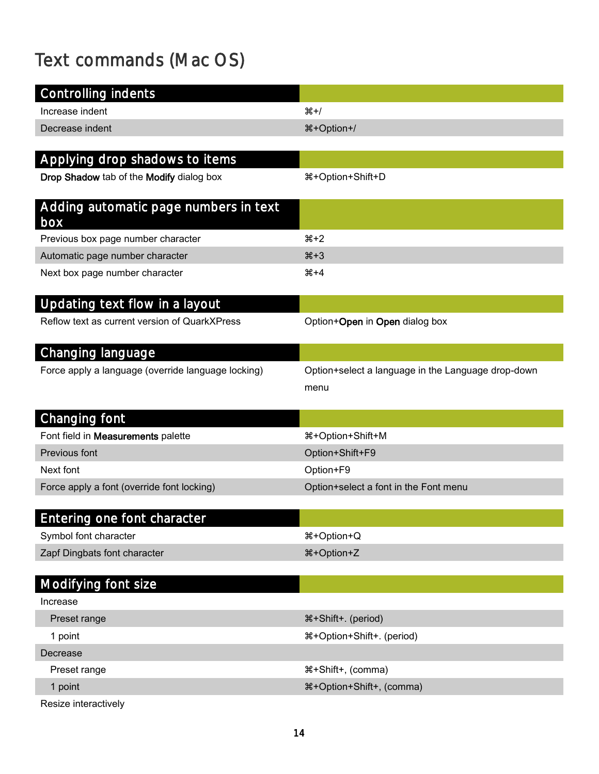# <span id="page-13-0"></span>Text commands (Mac OS)

| <b>Controlling indents</b>                         |                                                            |
|----------------------------------------------------|------------------------------------------------------------|
| Increase indent                                    | $#+/-$                                                     |
| Decrease indent                                    | <sup>34+</sup> Option <sup>+/</sup>                        |
|                                                    |                                                            |
| Applying drop shadows to items                     |                                                            |
| Drop Shadow tab of the Modify dialog box           | 용+Option+Shift+D                                           |
| Adding automatic page numbers in text<br>box       |                                                            |
| Previous box page number character                 | $#+2$                                                      |
| Automatic page number character                    | $*3$                                                       |
| Next box page number character                     | $#+4$                                                      |
| Updating text flow in a layout                     |                                                            |
| Reflow text as current version of QuarkXPress      | Option+Open in Open dialog box                             |
| Changing language                                  |                                                            |
| Force apply a language (override language locking) | Option+select a language in the Language drop-down<br>menu |
| Changing font                                      |                                                            |
| Font field in Measurements palette                 | #+Option+Shift+M                                           |
| Previous font                                      | Option+Shift+F9                                            |
| Next font                                          | Option+F9                                                  |
| Force apply a font (override font locking)         | Option+select a font in the Font menu                      |
|                                                    |                                                            |
| Entering one font character                        |                                                            |
| Symbol font character                              | %#Option+Q                                                 |
| Zapf Dingbats font character                       | 용+Option+Z                                                 |
| Modifying font size                                |                                                            |
| Increase                                           |                                                            |
| Preset range                                       | ೫+Shift+. (period)                                         |
| 1 point                                            | 용+Option+Shift+. (period)                                  |
| Decrease                                           |                                                            |
| Preset range                                       | #+Shift+, (comma)                                          |
| 1 point                                            | %#+Option+Shift+, (comma)                                  |
| Resize interactively                               |                                                            |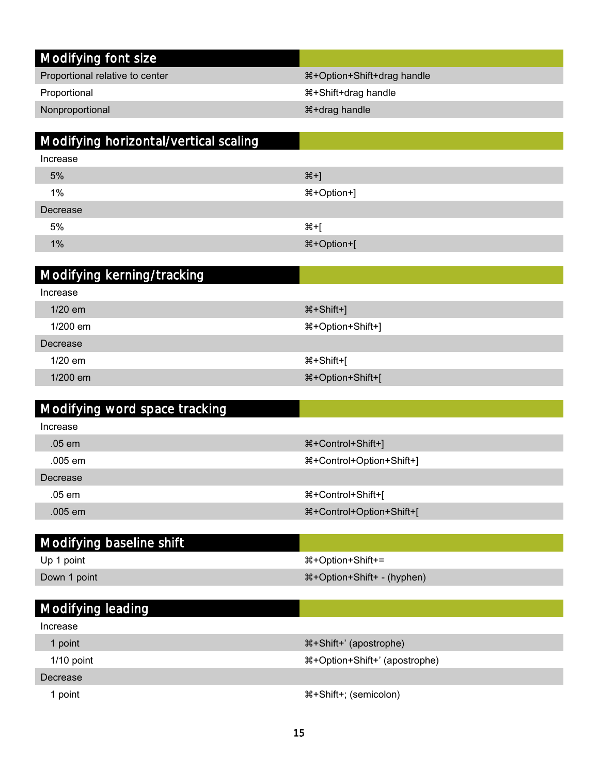| Modifying font size                   |                            |
|---------------------------------------|----------------------------|
| Proportional relative to center       | ೫+Option+Shift+drag handle |
| Proportional                          | <b>*+Shift+drag handle</b> |
| Nonproportional                       | <b>*+drag handle</b>       |
|                                       |                            |
| Modifying horizontal/vertical scaling |                            |
| Increase                              |                            |
| 5%                                    | $#+]$                      |
| 1%                                    | 용+Option+]                 |
| Decrease                              |                            |
| 5%                                    | ঋ+[                        |
| 1%                                    | 용+Option+[                 |
|                                       |                            |
| Modifying kerning/tracking            |                            |
| Increase                              |                            |
| 1/20 em                               | <sup>34+</sup> Shift+]     |
| 1/200 em                              | 용+Option+Shift+]           |
| Decrease                              |                            |
| 1/20 em                               | %+Shift+[                  |

| Modifying word space tracking |                               |
|-------------------------------|-------------------------------|
| Increase                      |                               |
| .05 em                        | 器+Control+Shift+]             |
| $.005$ em                     | 용+Control+Option+Shift+]      |
| Decrease                      |                               |
| $.05$ em                      | <sup>8</sup> +Control+Shift+[ |
| .005 em                       | %#+Control+Option+Shift+[     |

1/200 em +Option+Shift+[

| Modifying baseline shift |                                             |
|--------------------------|---------------------------------------------|
| Up 1 point               | $\text{H+Option+Shift+=}$                   |
| Down 1 point             | <b>\theta</b> + Option + Shift + - (hyphen) |
|                          |                                             |
| Modifying leading        |                                             |

| ີ            |                               |
|--------------|-------------------------------|
| Increase     |                               |
| l point      | #+Shift+' (apostrophe)        |
| $1/10$ point | #+Option+Shift+' (apostrophe) |
| Decrease     |                               |
| point        | #+Shift+; (semicolon)         |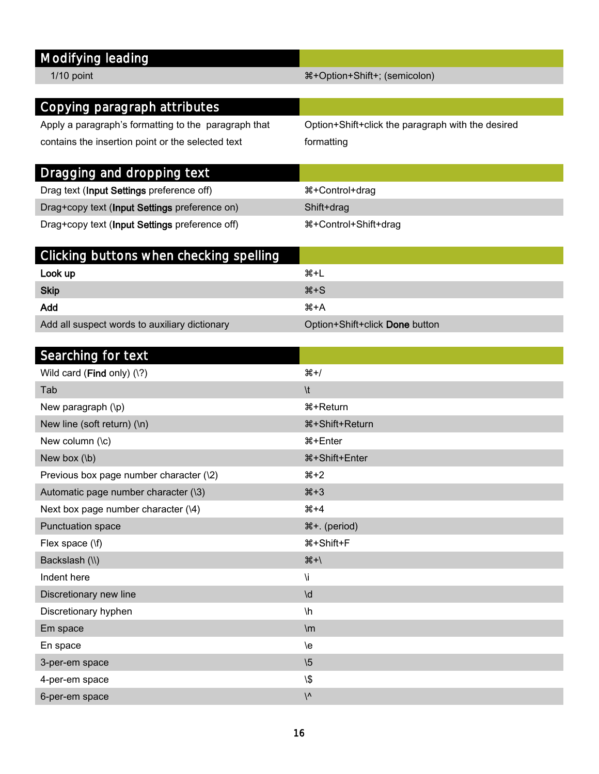### Modifying leading

#### 1/10 point +  $\frac{1}{10}$  point +  $\frac{1}{10}$  point +  $\frac{1}{10}$  point +  $\frac{1}{10}$  point +  $\frac{1}{10}$  point +  $\frac{1}{10}$  point +  $\frac{1}{10}$  point +  $\frac{1}{10}$  point +  $\frac{1}{10}$  point +  $\frac{1}{10}$  point +  $\frac{1}{10}$  point +

| Copying paragraph attributes                         |                                                   |
|------------------------------------------------------|---------------------------------------------------|
| Apply a paragraph's formatting to the paragraph that | Option+Shift+click the paragraph with the desired |
| contains the insertion point or the selected text    | formatting                                        |
|                                                      |                                                   |
| Dragging and dropping text                           |                                                   |
| Drag text (Input Settings preference off)            | ##Control+drag                                    |
| Drag+copy text (Input Settings preference on)        | Shift+drag                                        |
| Drag+copy text (Input Settings preference off)       | #+Control+Shift+drag                              |
|                                                      |                                                   |
| Clicking buttons when checking spelling              |                                                   |
| Look up                                              | $#+L$                                             |
| <b>Skip</b>                                          | $#+S$                                             |
| Add                                                  | $#+A$                                             |
| Add all suspect words to auxiliary dictionary        | Option+Shift+click Done button                    |
|                                                      |                                                   |
| $C$ concluing $C_{\alpha}$ is taught                 |                                                   |

| Searching for text                      |                                     |
|-----------------------------------------|-------------------------------------|
| Wild card (Find only) (\?)              | $#+/-$                              |
| Tab                                     | $\lambda$                           |
| New paragraph (\p)                      | <b><math>\#</math>+Return</b>       |
| New line (soft return) (\n)             | <b><math>\#</math>+Shift+Return</b> |
| New column (\c)                         | <b>%+Enter</b>                      |
| New box $(h)$                           | ೫+Shift+Enter                       |
| Previous box page number character (\2) | $*2$                                |
| Automatic page number character (\3)    | $*3$                                |
| Next box page number character (\4)     | $#+4$                               |
| Punctuation space                       | ೫+. (period)                        |
| Flex space (\f)                         | <b></b> #+Shift+F                   |
| Backslash (\\)                          | $#+$                                |
| Indent here                             | ۱i                                  |
| Discretionary new line                  | $\mathsf{Id}$                       |
| Discretionary hyphen                    | $\mathsf{h}$                        |
| Em space                                | $\mathsf{m}$                        |
| En space                                | /e                                  |
| 3-per-em space                          | $\sqrt{5}$                          |
| 4-per-em space                          | $\sqrt{2}$                          |
| 6-per-em space                          | $\sqrt{ }$                          |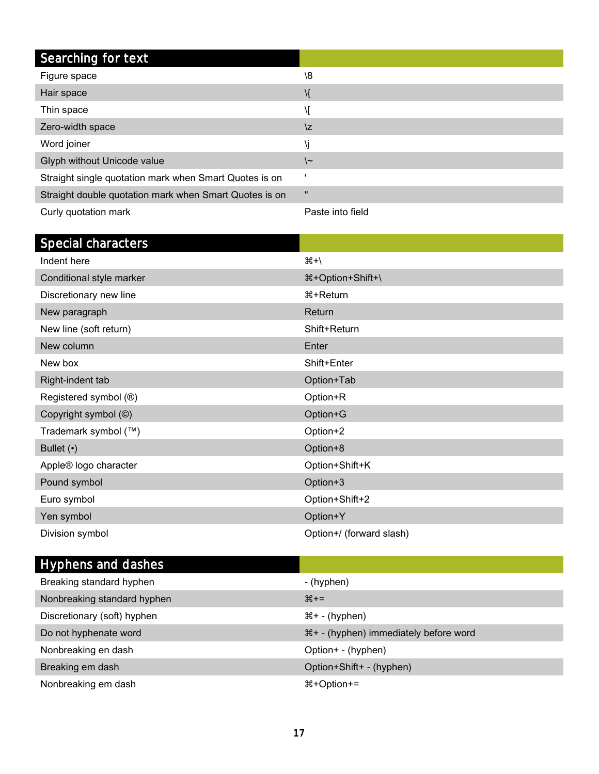| Searching for text                                     |                  |
|--------------------------------------------------------|------------------|
| Figure space                                           | $\sqrt{8}$       |
| Hair space                                             | \{               |
| Thin space                                             | Л                |
| Zero-width space                                       | \z               |
| Word joiner                                            | ۱j               |
| Glyph without Unicode value                            | \~               |
| Straight single quotation mark when Smart Quotes is on |                  |
| Straight double quotation mark when Smart Quotes is on | $\mathbf{u}$     |
| Curly quotation mark                                   | Paste into field |

| Special characters       |                          |
|--------------------------|--------------------------|
| Indent here              | $H + \frac{1}{2}$        |
| Conditional style marker | <b>\#+Option+Shift+\</b> |
| Discretionary new line   | ิ #+Return               |
| New paragraph            | Return                   |
| New line (soft return)   | Shift+Return             |
| New column               | Enter                    |
| New box                  | Shift+Enter              |
| Right-indent tab         | Option+Tab               |
| Registered symbol (®)    | Option+R                 |
| Copyright symbol (C)     | Option+G                 |
| Trademark symbol (™)     | Option+2                 |
| Bullet $(•)$             | Option+8                 |
| Apple® logo character    | Option+Shift+K           |
| Pound symbol             | Option+3                 |
| Euro symbol              | Option+Shift+2           |
| Yen symbol               | Option+Y                 |
| Division symbol          | Option+/ (forward slash) |

| Hyphens and dashes          |                                       |
|-----------------------------|---------------------------------------|
| Breaking standard hyphen    | - (hyphen)                            |
| Nonbreaking standard hyphen | $#+-$                                 |
| Discretionary (soft) hyphen | $\mathcal{H}$ + - (hyphen)            |
| Do not hyphenate word       | 器+ - (hyphen) immediately before word |
| Nonbreaking en dash         | Option+ - (hyphen)                    |
| Breaking em dash            | Option+Shift+ - (hyphen)              |
| Nonbreaking em dash         | $\text{H+Option+=}$                   |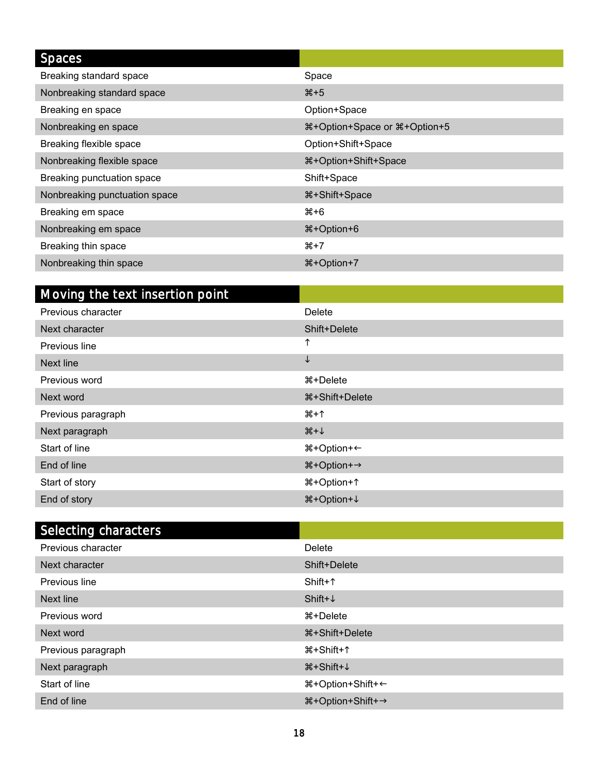| <b>Spaces</b>                 |                                    |
|-------------------------------|------------------------------------|
| Breaking standard space       | Space                              |
| Nonbreaking standard space    | $*5$                               |
| Breaking en space             | Option+Space                       |
| Nonbreaking en space          | 器+Option+Space or 器+Option+5       |
| Breaking flexible space       | Option+Shift+Space                 |
| Nonbreaking flexible space    | <sup>8</sup> +Option+Shift+Space   |
| Breaking punctuation space    | Shift+Space                        |
| Nonbreaking punctuation space | <b><math>\#</math>+Shift+Space</b> |
| Breaking em space             | #⊁6                                |
| Nonbreaking em space          | <b>00+8+</b> %                     |
| Breaking thin space           | $#+7$                              |
| Nonbreaking thin space        | <b>\\$+Option+7</b>                |

| Moving the text insertion point |                             |
|---------------------------------|-----------------------------|
| Previous character              | Delete                      |
| Next character                  | Shift+Delete                |
| Previous line                   | ↑                           |
| Next line                       | $\downarrow$                |
| Previous word                   | %+Delete                    |
| Next word                       | ิ #+Shift+Delete            |
| Previous paragraph              | #+↑                         |
| Next paragraph                  | $\mathcal{H}+\uparrow$      |
| Start of line                   | ิ #+Option+←                |
| End of line                     | #+Option+→                  |
| Start of story                  | #+Option+↑                  |
| End of story                    | <b>\theorem</b> +0ption + ↓ |

| Selecting characters |                                    |
|----------------------|------------------------------------|
| Previous character   | Delete                             |
| Next character       | Shift+Delete                       |
| Previous line        | $Shift+^$                          |
| Next line            | Shift+ $\downarrow$                |
| Previous word        | ิ #+Delete                         |
| Next word            | %+Shift+Delete                     |
| Previous paragraph   | ີ#+Shift+↑                         |
| Next paragraph       | $\mathcal{H}$ +Shift+ $\downarrow$ |
| Start of line        | ิ #+Option+Shift+←                 |
| End of line          | ೫+Option+Shift+→                   |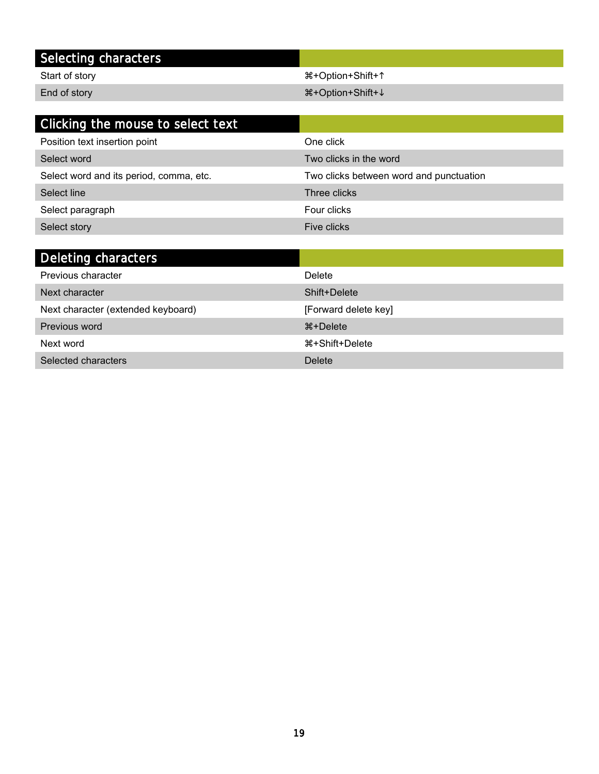### Selecting characters

Start of story + Option+Shift+1

End of story +Option+Shift+

| Clicking the mouse to select text       |                                         |
|-----------------------------------------|-----------------------------------------|
| Position text insertion point           | One click                               |
| Select word                             | Two clicks in the word                  |
| Select word and its period, comma, etc. | Two clicks between word and punctuation |
| Select line                             | Three clicks                            |
| Select paragraph                        | Four clicks                             |
| Select story                            | Five clicks                             |
|                                         |                                         |

| Deleting characters                |                        |
|------------------------------------|------------------------|
| Previous character                 | Delete                 |
| Next character                     | Shift+Delete           |
| Next character (extended keyboard) | [Forward delete key]   |
| Previous word                      | <del>2</del> % +Delete |
| Next word                          | ิ #+Shift+Delete       |
| Selected characters                | Delete                 |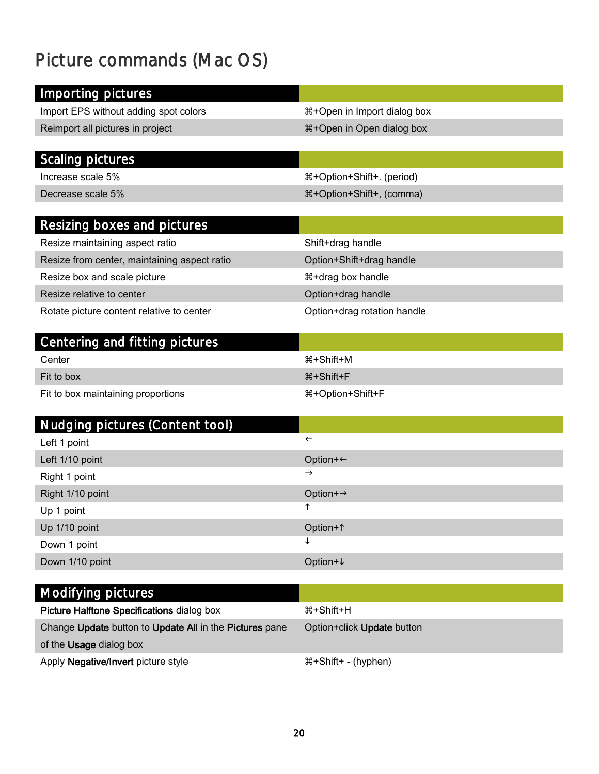### <span id="page-19-0"></span>Picture commands (Mac OS)

| Importing pictures                                        |                                           |
|-----------------------------------------------------------|-------------------------------------------|
|                                                           |                                           |
| Import EPS without adding spot colors                     | <b>\\$+Open</b> in Import dialog box      |
| Reimport all pictures in project                          | <b><i>\</i>S</b> +Open in Open dialog box |
|                                                           |                                           |
| <b>Scaling pictures</b>                                   |                                           |
| Increase scale 5%                                         | ೫+Option+Shift+. (period)                 |
| Decrease scale 5%                                         | 용+Option+Shift+, (comma)                  |
| Resizing boxes and pictures                               |                                           |
| Resize maintaining aspect ratio                           | Shift+drag handle                         |
| Resize from center, maintaining aspect ratio              | Option+Shift+drag handle                  |
|                                                           | <b><i>\</i>s</b> +drag box handle         |
| Resize box and scale picture<br>Resize relative to center |                                           |
|                                                           | Option+drag handle                        |
| Rotate picture content relative to center                 | Option+drag rotation handle               |
| Centering and fitting pictures                            |                                           |
| Center                                                    | <b><math>\#</math>+Shift+M</b>            |
| Fit to box                                                | <b>*+Shift+F</b>                          |
| Fit to box maintaining proportions                        | %#Option+Shift+F                          |
|                                                           |                                           |
| Nudging pictures (Content tool)                           |                                           |
| Left 1 point                                              | $\leftarrow$                              |
| Left 1/10 point                                           | Option+←                                  |
| Right 1 point                                             | $\rightarrow$                             |
| Right 1/10 point                                          | Option+→                                  |
| Up 1 point                                                | ↑                                         |
| Up 1/10 point                                             | Option+1                                  |
| Down 1 point                                              | ↓                                         |
| Down 1/10 point                                           | Option+↓                                  |
|                                                           |                                           |
| Modifying pictures                                        |                                           |
| Picture Halftone Specifications dialog box                | <b>*+Shift+H</b>                          |
| Change Update button to Update All in the Pictures pane   | Option+click Update button                |
| of the Usage dialog box                                   |                                           |

Apply Negative/Invert picture style  $\#+Shift+ - (hyphen)$